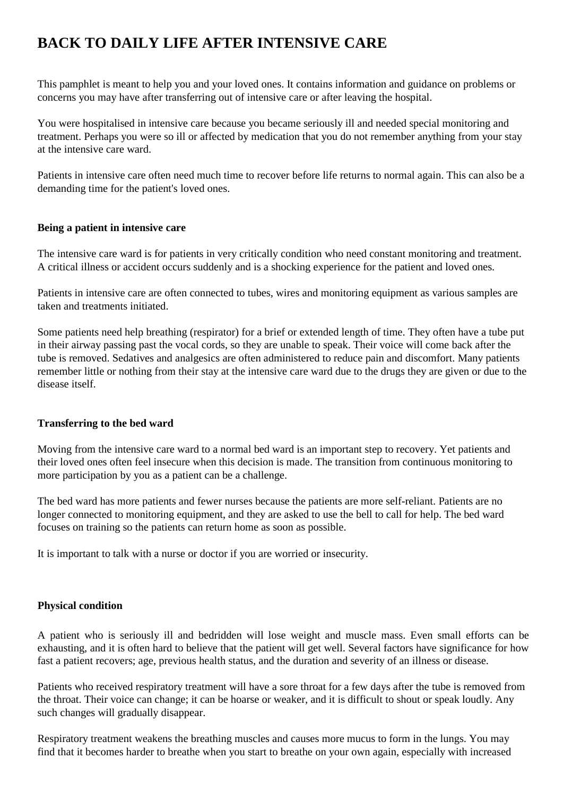# **BACK TO DAILY LIFE AFTER INTENSIVE CARE**

This pamphlet is meant to help you and your loved ones. It contains information and guidance on problems or concerns you may have after transferring out of intensive care or after leaving the hospital.

You were hospitalised in intensive care because you became seriously ill and needed special monitoring and treatment. Perhaps you were so ill or affected by medication that you do not remember anything from your stay at the intensive care ward.

Patients in intensive care often need much time to recover before life returns to normal again. This can also be a demanding time for the patient's loved ones.

## **Being a patient in intensive care**

The intensive care ward is for patients in very critically condition who need constant monitoring and treatment. A critical illness or accident occurs suddenly and is a shocking experience for the patient and loved ones.

Patients in intensive care are often connected to tubes, wires and monitoring equipment as various samples are taken and treatments initiated.

Some patients need help breathing (respirator) for a brief or extended length of time. They often have a tube put in their airway passing past the vocal cords, so they are unable to speak. Their voice will come back after the tube is removed. Sedatives and analgesics are often administered to reduce pain and discomfort. Many patients remember little or nothing from their stay at the intensive care ward due to the drugs they are given or due to the disease itself.

# **Transferring to the bed ward**

Moving from the intensive care ward to a normal bed ward is an important step to recovery. Yet patients and their loved ones often feel insecure when this decision is made. The transition from continuous monitoring to more participation by you as a patient can be a challenge.

The bed ward has more patients and fewer nurses because the patients are more self-reliant. Patients are no longer connected to monitoring equipment, and they are asked to use the bell to call for help. The bed ward focuses on training so the patients can return home as soon as possible.

It is important to talk with a nurse or doctor if you are worried or insecurity.

#### **Physical condition**

A patient who is seriously ill and bedridden will lose weight and muscle mass. Even small efforts can be exhausting, and it is often hard to believe that the patient will get well. Several factors have significance for how fast a patient recovers; age, previous health status, and the duration and severity of an illness or disease.

Patients who received respiratory treatment will have a sore throat for a few days after the tube is removed from the throat. Their voice can change; it can be hoarse or weaker, and it is difficult to shout or speak loudly. Any such changes will gradually disappear.

Respiratory treatment weakens the breathing muscles and causes more mucus to form in the lungs. You may find that it becomes harder to breathe when you start to breathe on your own again, especially with increased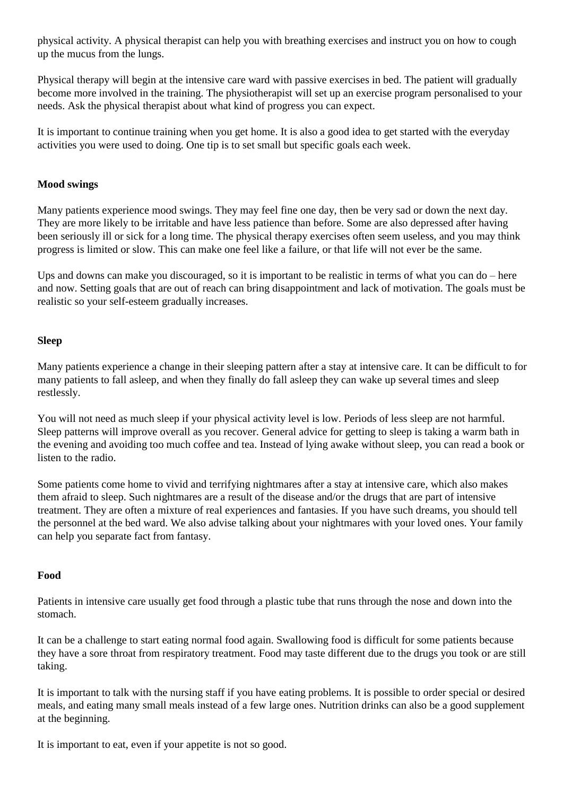physical activity. A physical therapist can help you with breathing exercises and instruct you on how to cough up the mucus from the lungs.

Physical therapy will begin at the intensive care ward with passive exercises in bed. The patient will gradually become more involved in the training. The physiotherapist will set up an exercise program personalised to your needs. Ask the physical therapist about what kind of progress you can expect.

It is important to continue training when you get home. It is also a good idea to get started with the everyday activities you were used to doing. One tip is to set small but specific goals each week.

## **Mood swings**

Many patients experience mood swings. They may feel fine one day, then be very sad or down the next day. They are more likely to be irritable and have less patience than before. Some are also depressed after having been seriously ill or sick for a long time. The physical therapy exercises often seem useless, and you may think progress is limited or slow. This can make one feel like a failure, or that life will not ever be the same.

Ups and downs can make you discouraged, so it is important to be realistic in terms of what you can do – here and now. Setting goals that are out of reach can bring disappointment and lack of motivation. The goals must be realistic so your self-esteem gradually increases.

## **Sleep**

Many patients experience a change in their sleeping pattern after a stay at intensive care. It can be difficult to for many patients to fall asleep, and when they finally do fall asleep they can wake up several times and sleep restlessly.

You will not need as much sleep if your physical activity level is low. Periods of less sleep are not harmful. Sleep patterns will improve overall as you recover. General advice for getting to sleep is taking a warm bath in the evening and avoiding too much coffee and tea. Instead of lying awake without sleep, you can read a book or listen to the radio.

Some patients come home to vivid and terrifying nightmares after a stay at intensive care, which also makes them afraid to sleep. Such nightmares are a result of the disease and/or the drugs that are part of intensive treatment. They are often a mixture of real experiences and fantasies. If you have such dreams, you should tell the personnel at the bed ward. We also advise talking about your nightmares with your loved ones. Your family can help you separate fact from fantasy.

#### **Food**

Patients in intensive care usually get food through a plastic tube that runs through the nose and down into the stomach.

It can be a challenge to start eating normal food again. Swallowing food is difficult for some patients because they have a sore throat from respiratory treatment. Food may taste different due to the drugs you took or are still taking.

It is important to talk with the nursing staff if you have eating problems. It is possible to order special or desired meals, and eating many small meals instead of a few large ones. Nutrition drinks can also be a good supplement at the beginning.

It is important to eat, even if your appetite is not so good.